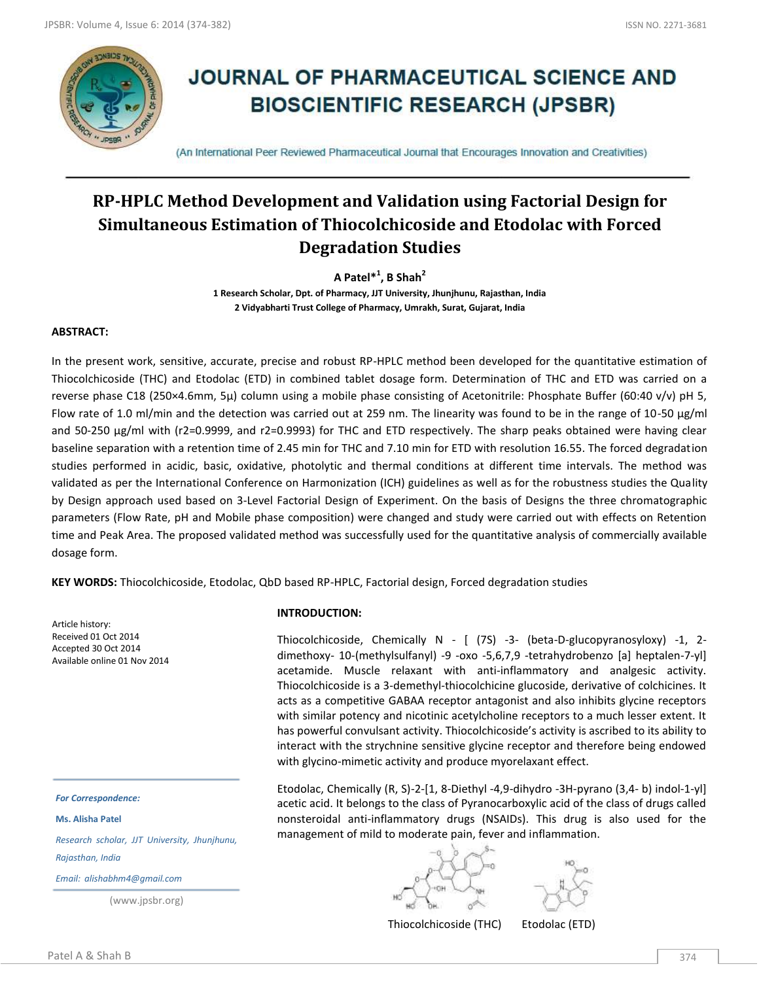

# **JOURNAL OF PHARMACEUTICAL SCIENCE AND BIOSCIENTIFIC RESEARCH (JPSBR)**

(An International Peer Reviewed Pharmaceutical Journal that Encourages Innovation and Creativities)

## **RP-HPLC Method Development and Validation using Factorial Design for Simultaneous Estimation of Thiocolchicoside and Etodolac with Forced Degradation Studies**

**A Patel\*<sup>1</sup> , B Shah<sup>2</sup>**

**1 Research Scholar, Dpt. of Pharmacy, JJT University, Jhunjhunu, Rajasthan, India 2 Vidyabharti Trust College of Pharmacy, Umrakh, Surat, Gujarat, India**

#### **ABSTRACT:**

In the present work, sensitive, accurate, precise and robust RP-HPLC method been developed for the quantitative estimation of Thiocolchicoside (THC) and Etodolac (ETD) in combined tablet dosage form. Determination of THC and ETD was carried on a reverse phase C18 (250×4.6mm, 5µ) column using a mobile phase consisting of Acetonitrile: Phosphate Buffer (60:40 v/v) pH 5, Flow rate of 1.0 ml/min and the detection was carried out at 259 nm. The linearity was found to be in the range of 10-50 μg/ml and 50-250 μg/ml with (r2=0.9999, and r2=0.9993) for THC and ETD respectively. The sharp peaks obtained were having clear baseline separation with a retention time of 2.45 min for THC and 7.10 min for ETD with resolution 16.55. The forced degradation studies performed in acidic, basic, oxidative, photolytic and thermal conditions at different time intervals. The method was validated as per the International Conference on Harmonization (ICH) guidelines as well as for the robustness studies the Quality by Design approach used based on 3-Level Factorial Design of Experiment. On the basis of Designs the three chromatographic parameters (Flow Rate, pH and Mobile phase composition) were changed and study were carried out with effects on Retention time and Peak Area. The proposed validated method was successfully used for the quantitative analysis of commercially available dosage form.

**KEY WORDS:** Thiocolchicoside, Etodolac, QbD based RP-HPLC, Factorial design, Forced degradation studies

Article history: Received 01 Oct 2014 Accepted 30 Oct 2014 Available online 01 Nov 2014

*For Correspondence:*

**Ms. Alisha Patel**

*Research scholar, JJT University, Jhunjhunu, Rajasthan, India*

*Email: alishabhm4@gmail.com*

(www.jpsbr.org)

#### **INTRODUCTION:**

Thiocolchicoside, Chemically N - [ (7S) -3- (beta-D-glucopyranosyloxy) -1, 2 dimethoxy- 10-(methylsulfanyl) -9 -oxo -5,6,7,9 -tetrahydrobenzo [a] heptalen-7-yl] acetamide. Muscle relaxant with anti-inflammatory and analgesic activity. Thiocolchicoside is a 3-demethyl-thiocolchicine glucoside, derivative of colchicines. It acts as a competitive GABAA receptor antagonist and also inhibits glycine receptors with similar potency and nicotinic acetylcholine receptors to a much lesser extent. It has powerful convulsant activity. Thiocolchicoside's activity is ascribed to its ability to interact with the strychnine sensitive glycine receptor and therefore being endowed with glycino-mimetic activity and produce myorelaxant effect.

Etodolac, Chemically (R, S)-2-[1, 8-Diethyl -4,9-dihydro -3H-pyrano (3,4- b) indol-1-yl] acetic acid. It belongs to the class of Pyranocarboxylic acid of the class of drugs called nonsteroidal anti-inflammatory drugs (NSAIDs). This drug is also used for the management of mild to moderate pain, fever and inflammation.

Thiocolchicoside (THC) Etodolac (ETD)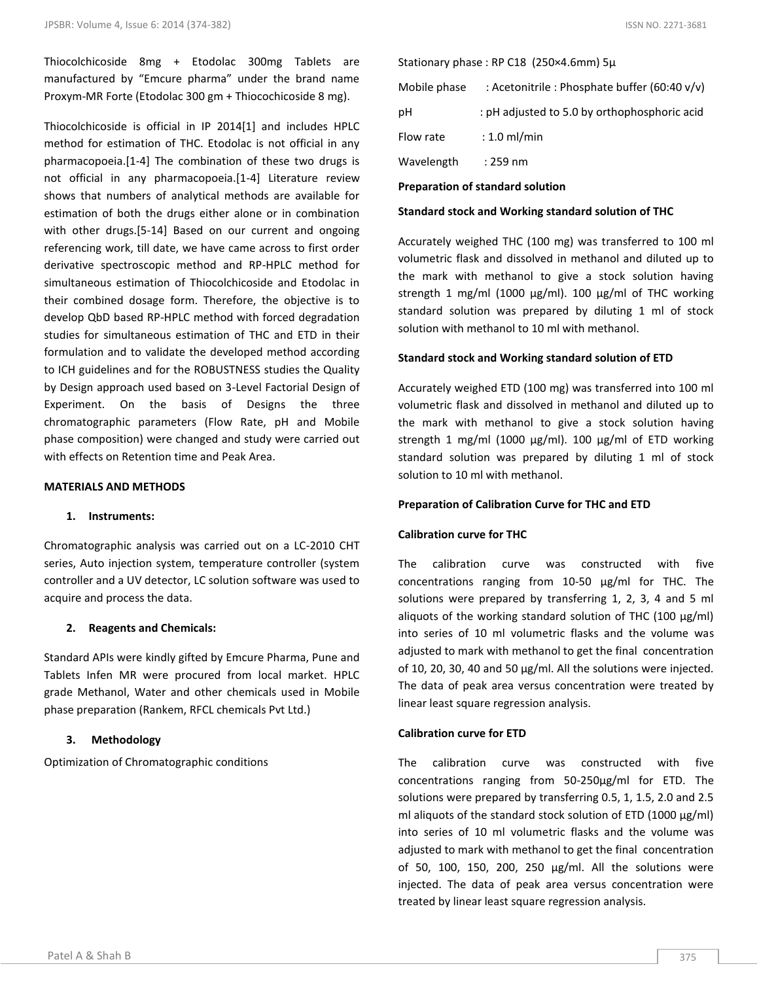Thiocolchicoside 8mg + Etodolac 300mg Tablets are manufactured by "Emcure pharma" under the brand name Proxym-MR Forte (Etodolac 300 gm + Thiocochicoside 8 mg).

Thiocolchicoside is official in IP 2014[1] and includes HPLC method for estimation of THC. Etodolac is not official in any pharmacopoeia.[1-4] The combination of these two drugs is not official in any pharmacopoeia.[1-4] Literature review shows that numbers of analytical methods are available for estimation of both the drugs either alone or in combination with other drugs.[5-14] Based on our current and ongoing referencing work, till date, we have came across to first order derivative spectroscopic method and RP-HPLC method for simultaneous estimation of Thiocolchicoside and Etodolac in their combined dosage form. Therefore, the objective is to develop QbD based RP-HPLC method with forced degradation studies for simultaneous estimation of THC and ETD in their formulation and to validate the developed method according to ICH guidelines and for the ROBUSTNESS studies the Quality by Design approach used based on 3-Level Factorial Design of Experiment. On the basis of Designs the three chromatographic parameters (Flow Rate, pH and Mobile phase composition) were changed and study were carried out with effects on Retention time and Peak Area.

#### **MATERIALS AND METHODS**

#### **1. Instruments:**

Chromatographic analysis was carried out on a LC-2010 CHT series, Auto injection system, temperature controller (system controller and a UV detector, LC solution software was used to acquire and process the data.

#### **2. Reagents and Chemicals:**

Standard APIs were kindly gifted by Emcure Pharma, Pune and Tablets Infen MR were procured from local market. HPLC grade Methanol, Water and other chemicals used in Mobile phase preparation (Rankem, RFCL chemicals Pvt Ltd.)

#### **3. Methodology**

Optimization of Chromatographic conditions

Stationary phase : RP C18 (250×4.6mm) 5µ

| Mobile phase | : Acetonitrile : Phosphate buffer (60:40 v/v) |
|--------------|-----------------------------------------------|
| рH           | : pH adjusted to 5.0 by orthophosphoric acid  |
| Flow rate    | $: 1.0$ ml/min                                |
| Wavelength   | : 259 nm                                      |

#### **Preparation of standard solution**

#### **Standard stock and Working standard solution of THC**

Accurately weighed THC (100 mg) was transferred to 100 ml volumetric flask and dissolved in methanol and diluted up to the mark with methanol to give a stock solution having strength 1 mg/ml (1000 µg/ml). 100 µg/ml of THC working standard solution was prepared by diluting 1 ml of stock solution with methanol to 10 ml with methanol.

#### **Standard stock and Working standard solution of ETD**

Accurately weighed ETD (100 mg) was transferred into 100 ml volumetric flask and dissolved in methanol and diluted up to the mark with methanol to give a stock solution having strength 1 mg/ml (1000  $\mu$ g/ml). 100  $\mu$ g/ml of ETD working standard solution was prepared by diluting 1 ml of stock solution to 10 ml with methanol.

#### **Preparation of Calibration Curve for THC and ETD**

#### **Calibration curve for THC**

The calibration curve was constructed with five concentrations ranging from 10-50 µg/ml for THC. The solutions were prepared by transferring 1, 2, 3, 4 and 5 ml aliquots of the working standard solution of THC (100 µg/ml) into series of 10 ml volumetric flasks and the volume was adjusted to mark with methanol to get the final concentration of 10, 20, 30, 40 and 50 µg/ml. All the solutions were injected. The data of peak area versus concentration were treated by linear least square regression analysis.

#### **Calibration curve for ETD**

The calibration curve was constructed with five concentrations ranging from 50-250µg/ml for ETD. The solutions were prepared by transferring 0.5, 1, 1.5, 2.0 and 2.5 ml aliquots of the standard stock solution of ETD (1000 µg/ml) into series of 10 ml volumetric flasks and the volume was adjusted to mark with methanol to get the final concentration of 50, 100, 150, 200, 250 µg/ml. All the solutions were injected. The data of peak area versus concentration were treated by linear least square regression analysis.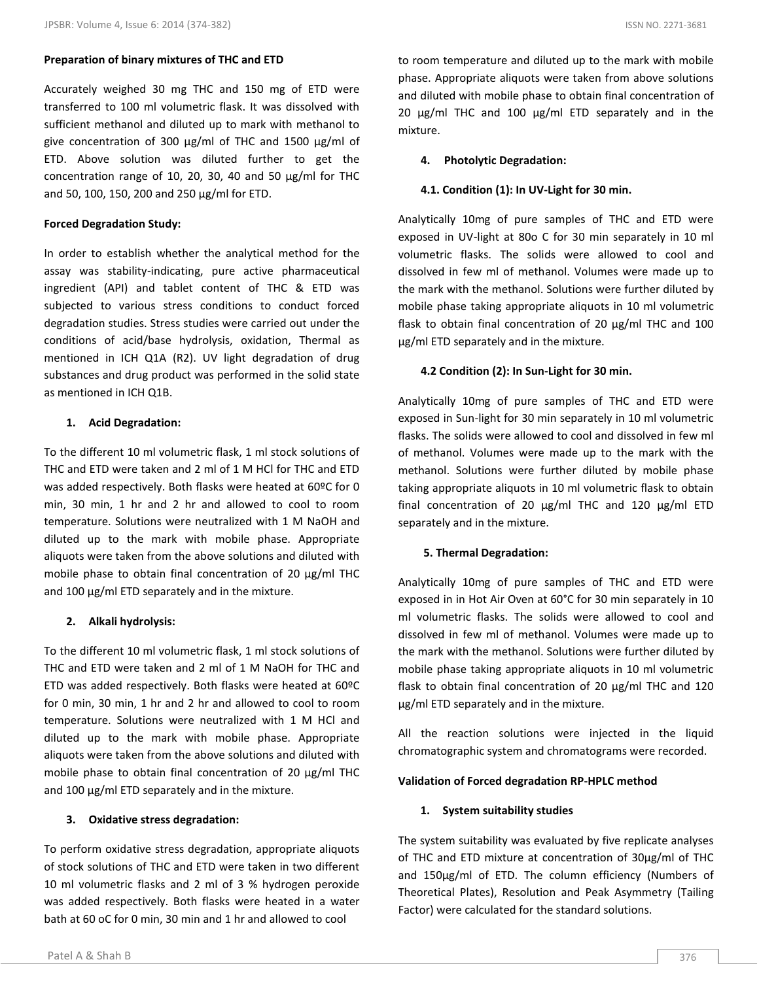#### **Preparation of binary mixtures of THC and ETD**

Accurately weighed 30 mg THC and 150 mg of ETD were transferred to 100 ml volumetric flask. It was dissolved with sufficient methanol and diluted up to mark with methanol to give concentration of 300 µg/ml of THC and 1500 µg/ml of ETD. Above solution was diluted further to get the concentration range of 10, 20, 30, 40 and 50 µg/ml for THC and 50, 100, 150, 200 and 250 µg/ml for ETD.

#### **Forced Degradation Study:**

In order to establish whether the analytical method for the assay was stability-indicating, pure active pharmaceutical ingredient (API) and tablet content of THC & ETD was subjected to various stress conditions to conduct forced degradation studies. Stress studies were carried out under the conditions of acid/base hydrolysis, oxidation, Thermal as mentioned in ICH Q1A (R2). UV light degradation of drug substances and drug product was performed in the solid state as mentioned in ICH Q1B.

#### **1. Acid Degradation:**

To the different 10 ml volumetric flask, 1 ml stock solutions of THC and ETD were taken and 2 ml of 1 M HCl for THC and ETD was added respectively. Both flasks were heated at 60ºC for 0 min, 30 min, 1 hr and 2 hr and allowed to cool to room temperature. Solutions were neutralized with 1 M NaOH and diluted up to the mark with mobile phase. Appropriate aliquots were taken from the above solutions and diluted with mobile phase to obtain final concentration of 20 µg/ml THC and 100 µg/ml ETD separately and in the mixture.

#### **2. Alkali hydrolysis:**

To the different 10 ml volumetric flask, 1 ml stock solutions of THC and ETD were taken and 2 ml of 1 M NaOH for THC and ETD was added respectively. Both flasks were heated at 60ºC for 0 min, 30 min, 1 hr and 2 hr and allowed to cool to room temperature. Solutions were neutralized with 1 M HCl and diluted up to the mark with mobile phase. Appropriate aliquots were taken from the above solutions and diluted with mobile phase to obtain final concentration of 20 µg/ml THC and 100 µg/ml ETD separately and in the mixture.

#### **3. Oxidative stress degradation:**

To perform oxidative stress degradation, appropriate aliquots of stock solutions of THC and ETD were taken in two different 10 ml volumetric flasks and 2 ml of 3 % hydrogen peroxide was added respectively. Both flasks were heated in a water bath at 60 oC for 0 min, 30 min and 1 hr and allowed to cool

#### **4. Photolytic Degradation:**

#### **4.1. Condition (1): In UV-Light for 30 min.**

Analytically 10mg of pure samples of THC and ETD were exposed in UV-light at 80o C for 30 min separately in 10 ml volumetric flasks. The solids were allowed to cool and dissolved in few ml of methanol. Volumes were made up to the mark with the methanol. Solutions were further diluted by mobile phase taking appropriate aliquots in 10 ml volumetric flask to obtain final concentration of 20 µg/ml THC and 100 µg/ml ETD separately and in the mixture.

#### **4.2 Condition (2): In Sun-Light for 30 min.**

Analytically 10mg of pure samples of THC and ETD were exposed in Sun-light for 30 min separately in 10 ml volumetric flasks. The solids were allowed to cool and dissolved in few ml of methanol. Volumes were made up to the mark with the methanol. Solutions were further diluted by mobile phase taking appropriate aliquots in 10 ml volumetric flask to obtain final concentration of 20 µg/ml THC and 120 µg/ml ETD separately and in the mixture.

#### **5. Thermal Degradation:**

Analytically 10mg of pure samples of THC and ETD were exposed in in Hot Air Oven at 60°C for 30 min separately in 10 ml volumetric flasks. The solids were allowed to cool and dissolved in few ml of methanol. Volumes were made up to the mark with the methanol. Solutions were further diluted by mobile phase taking appropriate aliquots in 10 ml volumetric flask to obtain final concentration of 20 µg/ml THC and 120 µg/ml ETD separately and in the mixture.

All the reaction solutions were injected in the liquid chromatographic system and chromatograms were recorded.

#### **Validation of Forced degradation RP-HPLC method**

#### **1. System suitability studies**

The system suitability was evaluated by five replicate analyses of THC and ETD mixture at concentration of 30µg/ml of THC and 150µg/ml of ETD. The column efficiency (Numbers of Theoretical Plates), Resolution and Peak Asymmetry (Tailing Factor) were calculated for the standard solutions.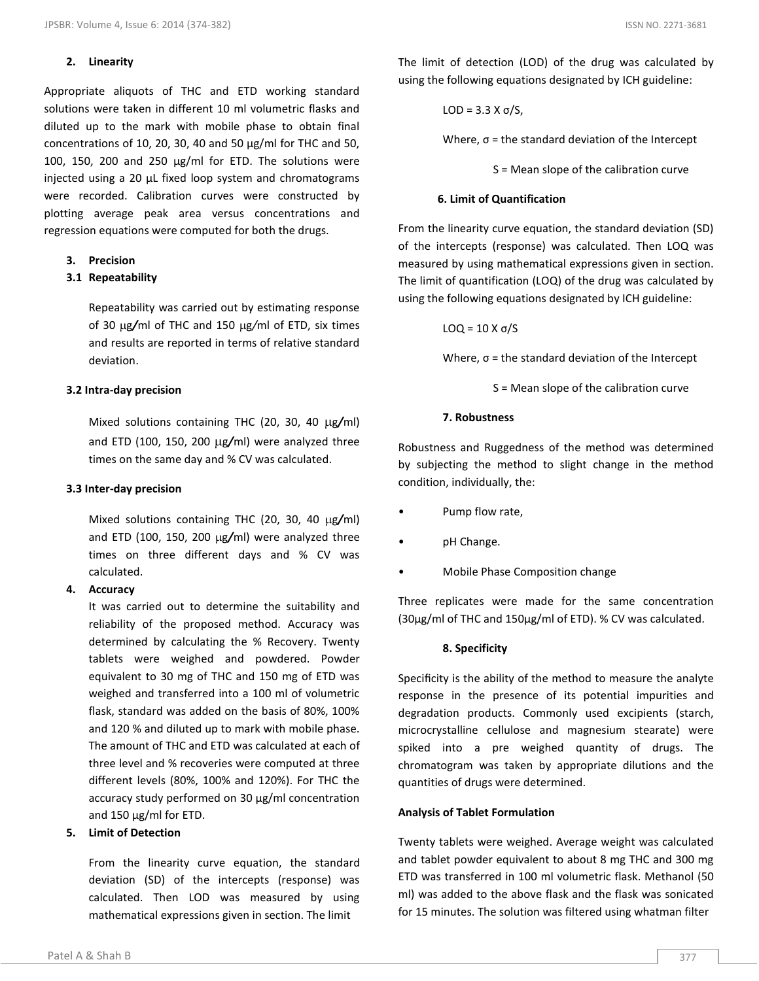#### **2. Linearity**

Appropriate aliquots of THC and ETD working standard solutions were taken in different 10 ml volumetric flasks and diluted up to the mark with mobile phase to obtain final concentrations of 10, 20, 30, 40 and 50 µg/ml for THC and 50, 100, 150, 200 and 250  $\mu$ g/ml for ETD. The solutions were injected using a 20 µL fixed loop system and chromatograms were recorded. Calibration curves were constructed by plotting average peak area versus concentrations and regression equations were computed for both the drugs.

#### **3. Precision**

#### **3.1 Repeatability**

Repeatability was carried out by estimating response of 30 µg/ml of THC and 150 µg/ml of ETD, six times and results are reported in terms of relative standard deviation.

#### **3.2 Intra-day precision**

Mixed solutions containing THC (20, 30, 40 µg/ml) and ETD (100, 150, 200 µg/ml) were analyzed three times on the same day and % CV was calculated.

#### **3.3 Inter-day precision**

Mixed solutions containing THC (20, 30, 40 µg/ml) and ETD (100, 150, 200 µg/ml) were analyzed three times on three different days and % CV was calculated.

#### **4. Accuracy**

It was carried out to determine the suitability and reliability of the proposed method. Accuracy was determined by calculating the % Recovery. Twenty tablets were weighed and powdered. Powder equivalent to 30 mg of THC and 150 mg of ETD was weighed and transferred into a 100 ml of volumetric flask, standard was added on the basis of 80%, 100% and 120 % and diluted up to mark with mobile phase. The amount of THC and ETD was calculated at each of three level and % recoveries were computed at three different levels (80%, 100% and 120%). For THC the accuracy study performed on 30 µg/ml concentration and 150 µg/ml for ETD.

#### **5. Limit of Detection**

From the linearity curve equation, the standard deviation (SD) of the intercepts (response) was calculated. Then LOD was measured by using mathematical expressions given in section. The limit

The limit of detection (LOD) of the drug was calculated by using the following equations designated by ICH guideline:

$$
LOD = 3.3 X \sigma/S,
$$

Where,  $\sigma$  = the standard deviation of the Intercept

S = Mean slope of the calibration curve

#### **6. Limit of Quantification**

From the linearity curve equation, the standard deviation (SD) of the intercepts (response) was calculated. Then LOQ was measured by using mathematical expressions given in section. The limit of quantification (LOQ) of the drug was calculated by using the following equations designated by ICH guideline:

$$
LOQ = 10 X \sigma/S
$$

Where,  $\sigma$  = the standard deviation of the Intercept

S = Mean slope of the calibration curve

#### **7. Robustness**

Robustness and Ruggedness of the method was determined by subjecting the method to slight change in the method condition, individually, the:

- Pump flow rate,
- pH Change.
- Mobile Phase Composition change

Three replicates were made for the same concentration (30μg/ml of THC and 150μg/ml of ETD). % CV was calculated.

#### **8. Specificity**

Specificity is the ability of the method to measure the analyte response in the presence of its potential impurities and degradation products. Commonly used excipients (starch, microcrystalline cellulose and magnesium stearate) were spiked into a pre weighed quantity of drugs. The chromatogram was taken by appropriate dilutions and the quantities of drugs were determined.

#### **Analysis of Tablet Formulation**

Twenty tablets were weighed. Average weight was calculated and tablet powder equivalent to about 8 mg THC and 300 mg ETD was transferred in 100 ml volumetric flask. Methanol (50 ml) was added to the above flask and the flask was sonicated for 15 minutes. The solution was filtered using whatman filter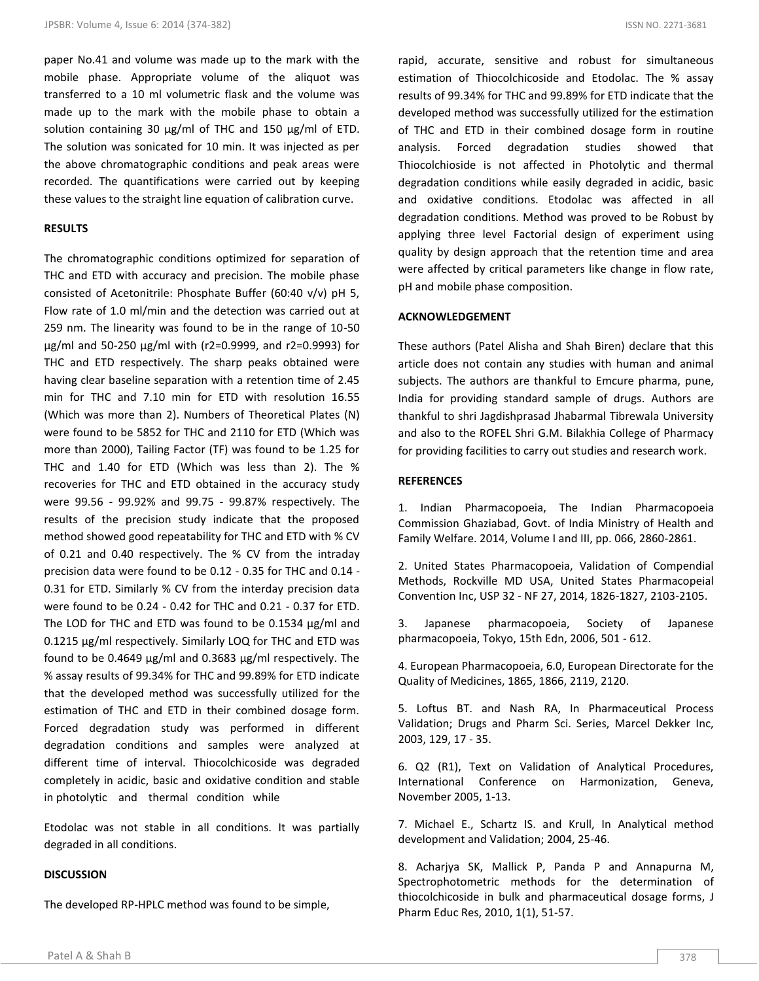paper No.41 and volume was made up to the mark with the mobile phase. Appropriate volume of the aliquot was transferred to a 10 ml volumetric flask and the volume was made up to the mark with the mobile phase to obtain a solution containing 30 µg/ml of THC and 150 µg/ml of ETD. The solution was sonicated for 10 min. It was injected as per the above chromatographic conditions and peak areas were recorded. The quantifications were carried out by keeping these values to the straight line equation of calibration curve.

#### **RESULTS**

The chromatographic conditions optimized for separation of THC and ETD with accuracy and precision. The mobile phase consisted of Acetonitrile: Phosphate Buffer (60:40 v/v) pH 5, Flow rate of 1.0 ml/min and the detection was carried out at 259 nm. The linearity was found to be in the range of 10-50 μg/ml and 50-250 μg/ml with (r2=0.9999, and r2=0.9993) for THC and ETD respectively. The sharp peaks obtained were having clear baseline separation with a retention time of 2.45 min for THC and 7.10 min for ETD with resolution 16.55 (Which was more than 2). Numbers of Theoretical Plates (N) were found to be 5852 for THC and 2110 for ETD (Which was more than 2000), Tailing Factor (TF) was found to be 1.25 for THC and 1.40 for ETD (Which was less than 2). The % recoveries for THC and ETD obtained in the accuracy study were 99.56 - 99.92% and 99.75 - 99.87% respectively. The results of the precision study indicate that the proposed method showed good repeatability for THC and ETD with % CV of 0.21 and 0.40 respectively. The % CV from the intraday precision data were found to be 0.12 - 0.35 for THC and 0.14 - 0.31 for ETD. Similarly % CV from the interday precision data were found to be 0.24 - 0.42 for THC and 0.21 - 0.37 for ETD. The LOD for THC and ETD was found to be 0.1534 µg/ml and 0.1215 µg/ml respectively. Similarly LOQ for THC and ETD was found to be 0.4649 µg/ml and 0.3683 µg/ml respectively. The % assay results of 99.34% for THC and 99.89% for ETD indicate that the developed method was successfully utilized for the estimation of THC and ETD in their combined dosage form. Forced degradation study was performed in different degradation conditions and samples were analyzed at different time of interval. Thiocolchicoside was degraded completely in acidic, basic and oxidative condition and stable in photolytic and thermal condition while

Etodolac was not stable in all conditions. It was partially degraded in all conditions.

#### **DISCUSSION**

The developed RP-HPLC method was found to be simple,

rapid, accurate, sensitive and robust for simultaneous estimation of Thiocolchicoside and Etodolac. The % assay results of 99.34% for THC and 99.89% for ETD indicate that the developed method was successfully utilized for the estimation of THC and ETD in their combined dosage form in routine analysis. Forced degradation studies showed that Thiocolchioside is not affected in Photolytic and thermal degradation conditions while easily degraded in acidic, basic and oxidative conditions. Etodolac was affected in all degradation conditions. Method was proved to be Robust by applying three level Factorial design of experiment using quality by design approach that the retention time and area were affected by critical parameters like change in flow rate, pH and mobile phase composition.

#### **ACKNOWLEDGEMENT**

These authors (Patel Alisha and Shah Biren) declare that this article does not contain any studies with human and animal subjects. The authors are thankful to Emcure pharma, pune, India for providing standard sample of drugs. Authors are thankful to shri Jagdishprasad Jhabarmal Tibrewala University and also to the ROFEL Shri G.M. Bilakhia College of Pharmacy for providing facilities to carry out studies and research work.

#### **REFERENCES**

1. Indian Pharmacopoeia, The Indian Pharmacopoeia Commission Ghaziabad, Govt. of India Ministry of Health and Family Welfare. 2014, Volume I and III, pp. 066, 2860-2861.

2. United States Pharmacopoeia, Validation of Compendial Methods, Rockville MD USA, United States Pharmacopeial Convention Inc, USP 32 - NF 27, 2014, 1826-1827, 2103-2105.

3. Japanese pharmacopoeia, Society of Japanese pharmacopoeia, Tokyo, 15th Edn, 2006, 501 - 612.

4. European Pharmacopoeia, 6.0, European Directorate for the Quality of Medicines, 1865, 1866, 2119, 2120.

5. Loftus BT. and Nash RA, In Pharmaceutical Process Validation; Drugs and Pharm Sci. Series, Marcel Dekker Inc, 2003, 129, 17 - 35.

6. Q2 (R1), Text on Validation of Analytical Procedures, International Conference on Harmonization, Geneva, November 2005, 1-13.

7. Michael E., Schartz IS. and Krull, In Analytical method development and Validation; 2004, 25-46.

8. Acharjya SK, Mallick P, Panda P and Annapurna M, Spectrophotometric methods for the determination of thiocolchicoside in bulk and pharmaceutical dosage forms, J Pharm Educ Res, 2010, 1(1), 51-57.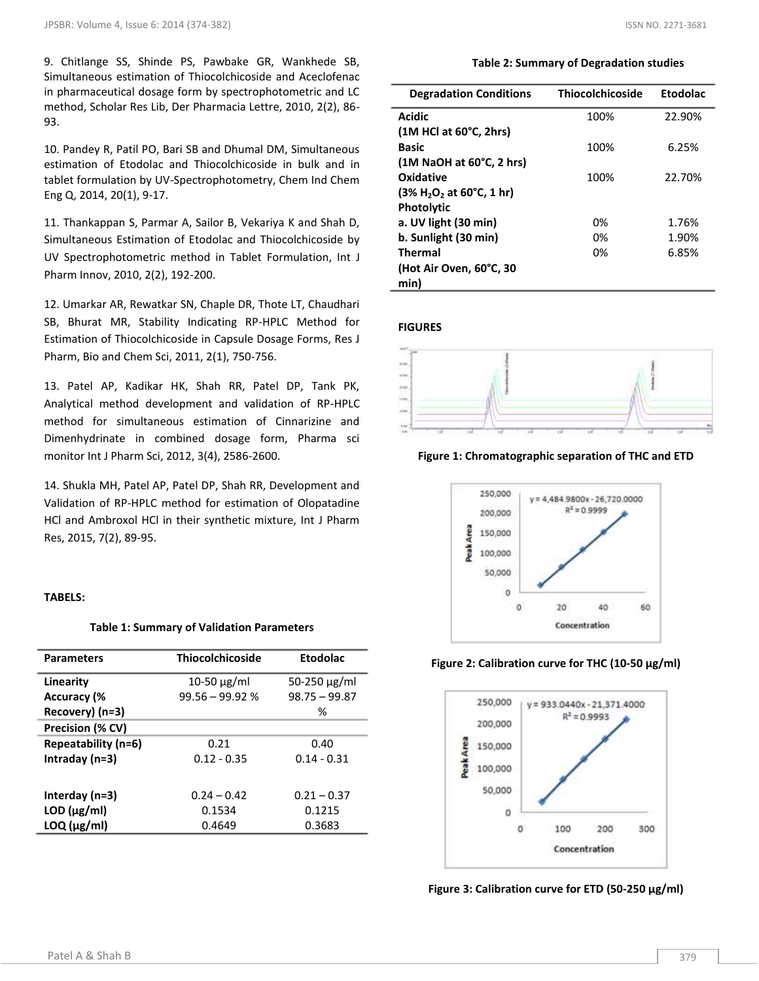9. Chitlange SS, Shinde PS, Pawbake GR, Wankhede SB, Simultaneous estimation of Thiocolchicoside and Aceclofenac in pharmaceutical dosage form by spectrophotometric and LC method, Scholar Res Lib, Der Pharmacia Lettre, 2010, 2(2), 86- 93.

10. Pandey R, Patil PO, Bari SB and Dhumal DM, Simultaneous estimation of Etodolac and Thiocolchicoside in bulk and in tablet formulation by UV-Spectrophotometry, Chem Ind Chem Eng Q, 2014, 20(1), 9-17.

11. Thankappan S, Parmar A, Sailor B, Vekariya K and Shah D, Simultaneous Estimation of Etodolac and Thiocolchicoside by UV Spectrophotometric method in Tablet Formulation, Int J Pharm Innov, 2010, 2(2), 192-200.

12. Umarkar AR, Rewatkar SN, Chaple DR, Thote LT, Chaudhari SB, Bhurat MR, Stability Indicating RP-HPLC Method for Estimation of Thiocolchicoside in Capsule Dosage Forms, Res J Pharm, Bio and Chem Sci, 2011, 2(1), 750-756.

13. Patel AP, Kadikar HK, Shah RR, Patel DP, Tank PK, Analytical method development and validation of RP-HPLC method for simultaneous estimation of Cinnarizine and Dimenhydrinate in combined dosage form, Pharma sci monitor Int J Pharm Sci, 2012, 3(4), 2586-2600.

14. Shukla MH, Patel AP, Patel DP, Shah RR, Development and Validation of RP-HPLC method for estimation of Olopatadine HCl and Ambroxol HCl in their synthetic mixture, Int J Pharm Res, 2015, 7(2), 89-95.

#### **TABELS:**

#### **Table 1: Summary of Validation Parameters**

| <b>Parameters</b>   | <b>Thiocolchicoside</b> | <b>Etodolac</b>   |
|---------------------|-------------------------|-------------------|
| Linearity           | $10-50 \mu g/ml$        | 50-250 $\mu$ g/ml |
| <b>Accuracy (%</b>  | $99.56 - 99.92$ %       | $98.75 - 99.87$   |
| Recovery) (n=3)     |                         | ℅                 |
| Precision (% CV)    |                         |                   |
| Repeatability (n=6) | 0.21                    | 0.40              |
| Intraday (n=3)      | $0.12 - 0.35$           | $0.14 - 0.31$     |
|                     |                         |                   |
| Interday $(n=3)$    | $0.24 - 0.42$           | $0.21 - 0.37$     |
| $LOD$ ( $\mu$ g/ml) | 0.1534                  | 0.1215            |
| $LOQ$ ( $\mu$ g/ml) | 0.4649                  | 0.3683            |
|                     |                         |                   |

### **Table 2: Summary of Degradation studies**

| <b>Degradation Conditions</b>        | <b>Thiocolchicoside</b> | <b>Etodolac</b> |
|--------------------------------------|-------------------------|-----------------|
| <b>Acidic</b>                        | 100%                    | 22.90%          |
| $(1M$ HCl at $60^{\circ}$ C, 2hrs)   |                         |                 |
| Basic                                | 100%                    | 6.25%           |
| $(1M$ NaOH at $60^{\circ}$ C, 2 hrs) |                         |                 |
| Oxidative                            | 100%                    | 22.70%          |
| $(3\% H_2O_2$ at 60°C, 1 hr)         |                         |                 |
| <b>Photolytic</b>                    |                         |                 |
| a. UV light (30 min)                 | በ%                      | 1.76%           |
| b. Sunlight (30 min)                 | በ%                      | 1.90%           |
| <b>Thermal</b>                       | በ%                      | 6.85%           |
| (Hot Air Oven, 60°C, 30              |                         |                 |
| min)                                 |                         |                 |

#### **FIGURES**



**Figure 1: Chromatographic separation of THC and ETD**



**Figure 2: Calibration curve for THC (10-50 μg/ml)**



**Figure 3: Calibration curve for ETD (50-250 μg/ml)**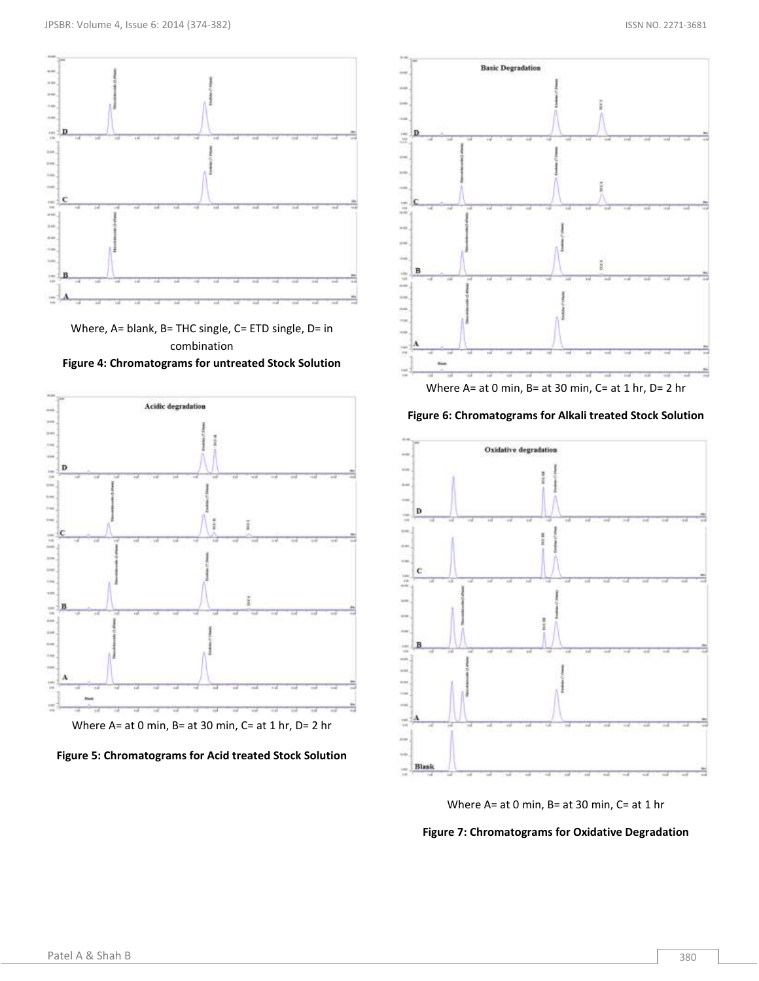

Where, A= blank, B= THC single, C= ETD single, D= in combination **Figure 4: Chromatograms for untreated Stock Solution**







Where A= at 0 min, B= at 30 min, C= at 1 hr, D= 2 hr

**Figure 6: Chromatograms for Alkali treated Stock Solution**



Where A= at 0 min, B= at 30 min, C= at 1 hr

**Figure 7: Chromatograms for Oxidative Degradation**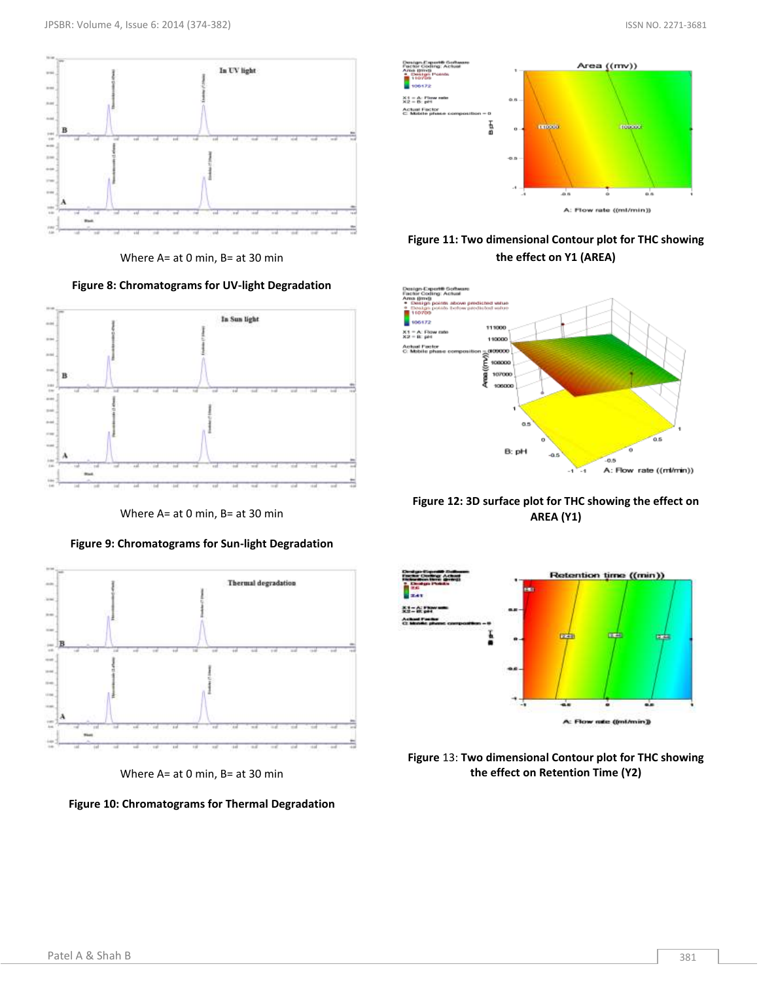

Where A= at 0 min, B= at 30 min





Where A= at 0 min, B= at 30 min





Where A= at 0 min, B= at 30 min





## **Figure 11: Two dimensional Contour plot for THC showing the effect on Y1 (AREA)**



**Figure 12: 3D surface plot for THC showing the effect on AREA (Y1)**



**Figure** 13: **Two dimensional Contour plot for THC showing the effect on Retention Time (Y2)**